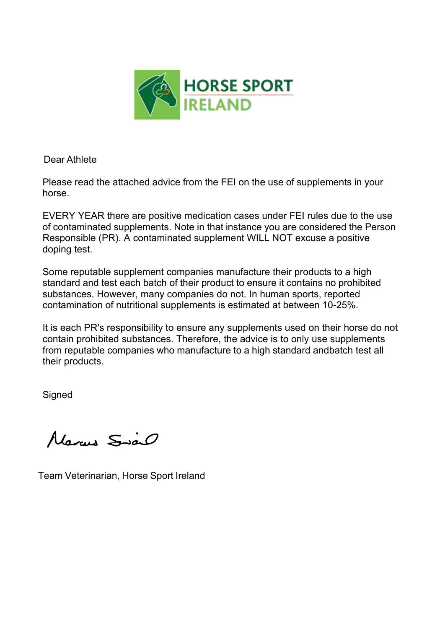

Dear Athlete

Please read the attached advice from the FEI on the use of supplements in your horse.

EVERY YEAR there are positive medication cases under FEI rules due to the use of contaminated supplements. Note in that instance you are considered the Person Responsible (PR). A contaminated supplement WILL NOT excuse a positive doping test.

Some reputable supplement companies manufacture their products to a high standard and test each batch of their product to ensure it contains no prohibited substances. However, many companies do not. In human sports, reported contamination of nutritional supplements is estimated at between 10-25%.

It is each PR's responsibility to ensure any supplements used on their horse do not contain prohibited substances. Therefore, the advice is to only use supplements from reputable companies who manufacture to a high standard and batch test all their products.

Signed

Marcus Siao

Team Veterinarian, Horse Sport Ireland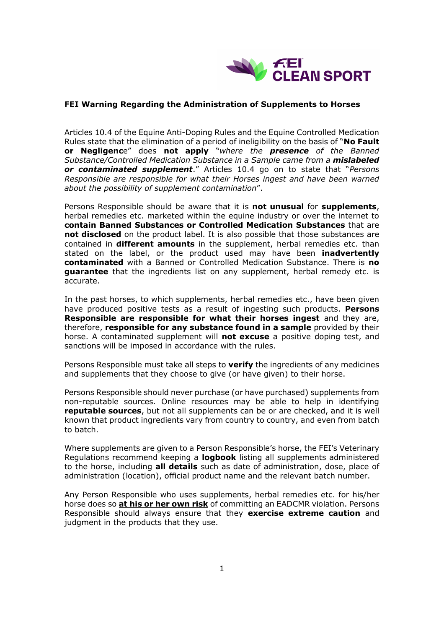

## **FEI Warning Regarding the Administration of Supplements to Horses**

Articles 10.4 of the Equine Anti-Doping Rules and the Equine Controlled Medication Rules state that the elimination of a period of ineligibility on the basis of "No Fault **or Negligenc**e´ does **not apply** ³*where the presence of the Banned Substance/Controlled Medication Substance in a Sample came from a mislabeled or contaminated supplement.* Articles 10.4 go on to state that "*Persons Responsible are responsible for what their Horses ingest and have been warned about the possibility of supplement contamination*´.

Persons Responsible should be aware that it is **not unusual** for **supplements**, herbal remedies etc. marketed within the equine industry or over the internet to **contain Banned Substances or Controlled Medication Substances** that are **not disclosed** on the product label. It is also possible that those substances are contained in **different amounts** in the supplement, herbal remedies etc. than stated on the label, or the product used may have been **inadvertently contaminated** with a Banned or Controlled Medication Substance. There is **no guarantee** that the ingredients list on any supplement, herbal remedy etc. is accurate.

In the past horses, to which supplements, herbal remedies etc., have been given have produced positive tests as a result of ingesting such products. **Persons Responsible are responsible for what their horses ingest** and they are, therefore, **responsible for any substance found in a sample** provided by their horse. A contaminated supplement will **not excuse** a positive doping test, and sanctions will be imposed in accordance with the rules.

Persons Responsible must take all steps to **verify** the ingredients of any medicines and supplements that they choose to give (or have given) to their horse.

Persons Responsible should never purchase (or have purchased) supplements from non-reputable sources. Online resources may be able to help in identifying **reputable sources**, but not all supplements can be or are checked, and it is well known that product ingredients vary from country to country, and even from batch to batch.

Where supplements are given to a Person Responsible's horse, the FEI's Veterinary Regulations recommend keeping a **logbook** listing all supplements administered to the horse, including **all details** such as date of administration, dose, place of administration (location), official product name and the relevant batch number.

Any Person Responsible who uses supplements, herbal remedies etc. for his/her horse does so **at his or her own risk** of committing an EADCMR violation. Persons Responsible should always ensure that they **exercise extreme caution** and judgment in the products that they use.